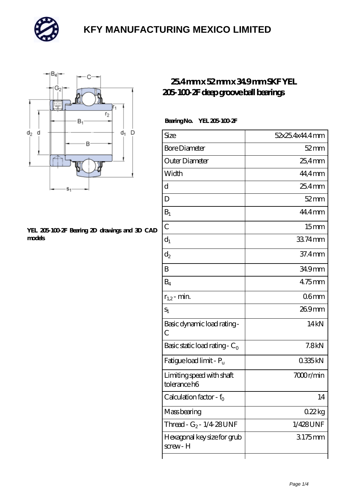



#### **[YEL 205-100-2F Bearing 2D drawings and 3D CAD](https://mailemotion.tv/pic-412395.html) [models](https://mailemotion.tv/pic-412395.html)**

### **[25.4 mm x 52 mm x 34.9 mm SKF YEL](https://mailemotion.tv/bb-412395-skf-yel-205-100-2f-deep-groove-ball-bearings.html) [205-100-2F deep groove ball bearings](https://mailemotion.tv/bb-412395-skf-yel-205-100-2f-deep-groove-ball-bearings.html)**

### **Bearing No. YEL 205-100-2F**

| Size                                      | 52x25.4x44.4mm   |
|-------------------------------------------|------------------|
| <b>Bore Diameter</b>                      | $52$ mm          |
| Outer Diameter                            | 25,4mm           |
| Width                                     | 44,4mm           |
| d                                         | $254$ mm         |
| D                                         | $52$ mm          |
| $B_1$                                     | 44.4mm           |
| $\overline{C}$                            | 15 <sub>mm</sub> |
| $d_1$                                     | 3374mm           |
| $\mathrm{d}_2$                            | $37.4 \text{mm}$ |
| B                                         | 34.9mm           |
| $\rm B_4$                                 | $475$ mm         |
| $r_{1,2}$ - min.                          | 06 <sub>mm</sub> |
| $S_1$                                     | 269mm            |
| Basic dynamic load rating-<br>С           | 14 <sub>kN</sub> |
| Basic static load rating - $C_0$          | 7.8kN            |
| Fatigue load limit - P <sub>u</sub>       | 0335kN           |
| Limiting speed with shaft<br>tolerance h6 | 7000r/min        |
| Calculation factor - f <sub>o</sub>       | 14               |
| Mass bearing                              | 022kg            |
| Thread - $G_2$ - 1/4-28 UNF               | 1/428UNF         |
| Hexagonal key size for grub<br>screw-H    | 3175mm           |
|                                           |                  |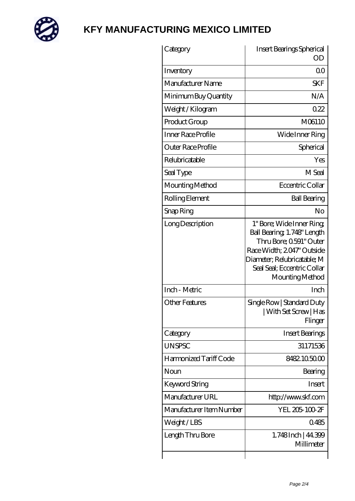

| Category                 | Insert Bearings Spherical<br>OD                                                                                                                                                                  |
|--------------------------|--------------------------------------------------------------------------------------------------------------------------------------------------------------------------------------------------|
|                          |                                                                                                                                                                                                  |
| Inventory                | 0 <sup>0</sup>                                                                                                                                                                                   |
| Manufacturer Name        | <b>SKF</b>                                                                                                                                                                                       |
| Minimum Buy Quantity     | N/A                                                                                                                                                                                              |
| Weight/Kilogram          | 0.22                                                                                                                                                                                             |
| Product Group            | M06110                                                                                                                                                                                           |
| Inner Race Profile       | Wide Inner Ring                                                                                                                                                                                  |
| Outer Race Profile       | Spherical                                                                                                                                                                                        |
| Relubricatable           | Yes                                                                                                                                                                                              |
| Seal Type                | M Seal                                                                                                                                                                                           |
| Mounting Method          | Eccentric Collar                                                                                                                                                                                 |
| Rolling Element          | <b>Ball Bearing</b>                                                                                                                                                                              |
| Snap Ring                | No                                                                                                                                                                                               |
| Long Description         | 1" Bore; Wide Inner Ring;<br>Ball Bearing, 1.748" Length<br>Thru Bore; 0591" Outer<br>Race Width; 2047' Outside<br>Diameter; Relubricatable; M<br>Seal Seal; Eccentric Collar<br>Mounting Method |
| Inch - Metric            | Inch                                                                                                                                                                                             |
| Other Features           | Single Row   Standard Duty<br>  With Set Screw   Has<br>Flinger                                                                                                                                  |
| Category                 | <b>Insert Bearings</b>                                                                                                                                                                           |
| <b>UNSPSC</b>            | 31171536                                                                                                                                                                                         |
| Harmonized Tariff Code   | 8482105000                                                                                                                                                                                       |
| Noun                     | Bearing                                                                                                                                                                                          |
| Keyword String           | Insert                                                                                                                                                                                           |
| Manufacturer URL         | http://www.skf.com                                                                                                                                                                               |
| Manufacturer Item Number | YEL 205-100-2F                                                                                                                                                                                   |
| Weight/LBS               | 0485                                                                                                                                                                                             |
| Length Thru Bore         | 1.748 Inch   44.399<br>Millimeter                                                                                                                                                                |
|                          |                                                                                                                                                                                                  |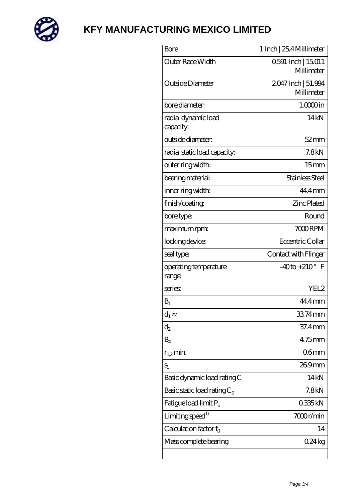

| 0.591 Inch   15.011<br>Millimeter<br>2047 Inch   51.994 |
|---------------------------------------------------------|
|                                                         |
| Millimeter                                              |
| $1.0000$ in                                             |
| 14kN                                                    |
| $52$ mm                                                 |
| 7.8 <sub>kN</sub>                                       |
| 15 <sub>mm</sub>                                        |
| Stainless Steel                                         |
| 44.4 mm                                                 |
| <b>Zinc Plated</b>                                      |
| Round                                                   |
| 7000RPM                                                 |
| Eccentric Collar                                        |
| Contact with Flinger                                    |
| $-40$ to $+210^{\circ}$ F                               |
| YEL2                                                    |
| 44.4mm                                                  |
| 33.74mm                                                 |
| 37.4mm                                                  |
| 475mm                                                   |
| 06 <sub>mm</sub>                                        |
| 269mm                                                   |
| 14kN                                                    |
| 7.8 <sub>kN</sub>                                       |
| 0335kN                                                  |
|                                                         |
| 7000r/min                                               |
| 14                                                      |
|                                                         |